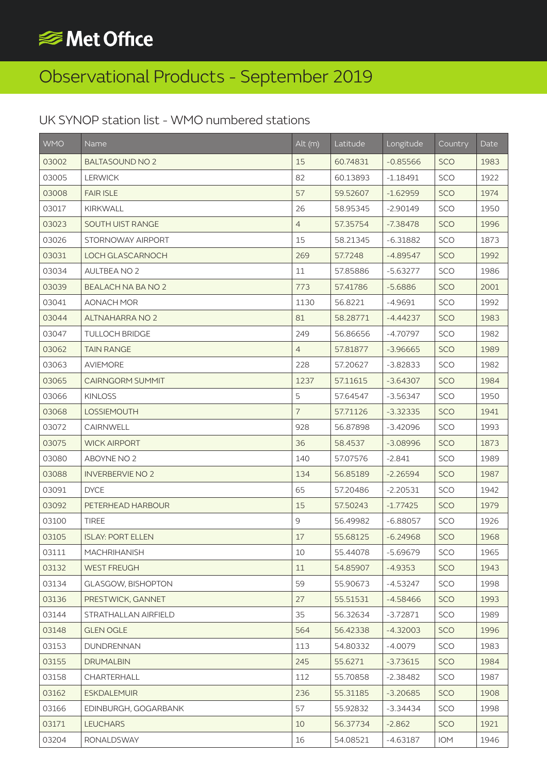## **SIGNET Office**

## Observational Products - September 2019

## UK SYNOP station list - WMO numbered stations

| <b>WMO</b> | Name                     | Alt(m)         | Latitude | Longitude  | Country    | Date |
|------------|--------------------------|----------------|----------|------------|------------|------|
| 03002      | <b>BALTASOUND NO 2</b>   | 15             | 60.74831 | $-0.85566$ | <b>SCO</b> | 1983 |
| 03005      | <b>LERWICK</b>           | 82             | 60.13893 | $-1.18491$ | SCO        | 1922 |
| 03008      | <b>FAIR ISLE</b>         | 57             | 59.52607 | $-1.62959$ | <b>SCO</b> | 1974 |
| 03017      | <b>KIRKWALL</b>          | 26             | 58.95345 | $-2.90149$ | SCO        | 1950 |
| 03023      | <b>SOUTH UIST RANGE</b>  | $\overline{4}$ | 57.35754 | $-7.38478$ | SCO        | 1996 |
| 03026      | STORNOWAY AIRPORT        | 15             | 58.21345 | $-6.31882$ | SCO        | 1873 |
| 03031      | LOCH GLASCARNOCH         | 269            | 57.7248  | $-4.89547$ | SCO        | 1992 |
| 03034      | <b>AULTBEA NO 2</b>      | 11             | 57.85886 | $-5.63277$ | SCO        | 1986 |
| 03039      | BEALACH NA BA NO 2       | 773            | 57.41786 | $-5.6886$  | SCO        | 2001 |
| 03041      | <b>AONACH MOR</b>        | 1130           | 56.8221  | $-4.9691$  | SCO        | 1992 |
| 03044      | <b>ALTNAHARRA NO 2</b>   | 81             | 58.28771 | $-4.44237$ | <b>SCO</b> | 1983 |
| 03047      | <b>TULLOCH BRIDGE</b>    | 249            | 56.86656 | $-4.70797$ | SCO        | 1982 |
| 03062      | <b>TAIN RANGE</b>        | $\overline{4}$ | 57.81877 | $-3.96665$ | SCO        | 1989 |
| 03063      | <b>AVIEMORE</b>          | 228            | 57.20627 | $-3.82833$ | SCO        | 1982 |
| 03065      | <b>CAIRNGORM SUMMIT</b>  | 1237           | 57.11615 | $-3.64307$ | <b>SCO</b> | 1984 |
| 03066      | <b>KINLOSS</b>           | 5              | 57.64547 | $-3.56347$ | SCO        | 1950 |
| 03068      | <b>LOSSIEMOUTH</b>       | $\overline{7}$ | 57.71126 | $-3.32335$ | <b>SCO</b> | 1941 |
| 03072      | CAIRNWELL                | 928            | 56.87898 | $-3.42096$ | SCO        | 1993 |
| 03075      | <b>WICK AIRPORT</b>      | 36             | 58.4537  | $-3.08996$ | <b>SCO</b> | 1873 |
| 03080      | ABOYNE NO 2              | 140            | 57.07576 | $-2.841$   | SCO        | 1989 |
| 03088      | <b>INVERBERVIE NO 2</b>  | 134            | 56.85189 | $-2.26594$ | <b>SCO</b> | 1987 |
| 03091      | <b>DYCE</b>              | 65             | 57.20486 | $-2.20531$ | <b>SCO</b> | 1942 |
| 03092      | PETERHEAD HARBOUR        | 15             | 57.50243 | $-1.77425$ | <b>SCO</b> | 1979 |
| 03100      | <b>TIREE</b>             | 9              | 56.49982 | $-6.88057$ | SCO        | 1926 |
| 03105      | <b>ISLAY: PORT ELLEN</b> | 17             | 55.68125 | $-6.24968$ | <b>SCO</b> | 1968 |
| 03111      | <b>MACHRIHANISH</b>      | 10             | 55.44078 | $-5.69679$ | SCO        | 1965 |
| 03132      | <b>WEST FREUGH</b>       | 11             | 54.85907 | $-4.9353$  | <b>SCO</b> | 1943 |
| 03134      | GLASGOW, BISHOPTON       | 59             | 55.90673 | $-4.53247$ | SCO        | 1998 |
| 03136      | PRESTWICK, GANNET        | 27             | 55.51531 | $-4.58466$ | <b>SCO</b> | 1993 |
| 03144      | STRATHALLAN AIRFIELD     | 35             | 56.32634 | $-3.72871$ | SCO        | 1989 |
| 03148      | <b>GLEN OGLE</b>         | 564            | 56.42338 | $-4.32003$ | SCO        | 1996 |
| 03153      | <b>DUNDRENNAN</b>        | 113            | 54.80332 | $-4.0079$  | SCO        | 1983 |
| 03155      | <b>DRUMALBIN</b>         | 245            | 55.6271  | $-3.73615$ | SCO        | 1984 |
| 03158      | CHARTERHALL              | 112            | 55.70858 | $-2.38482$ | SCO        | 1987 |
| 03162      | <b>ESKDALEMUIR</b>       | 236            | 55.31185 | $-3.20685$ | <b>SCO</b> | 1908 |
| 03166      | EDINBURGH, GOGARBANK     | 57             | 55.92832 | $-3.34434$ | SCO        | 1998 |
| 03171      | <b>LEUCHARS</b>          | 10             | 56.37734 | $-2.862$   | <b>SCO</b> | 1921 |
| 03204      | <b>RONALDSWAY</b>        | 16             | 54.08521 | $-4.63187$ | IOM        | 1946 |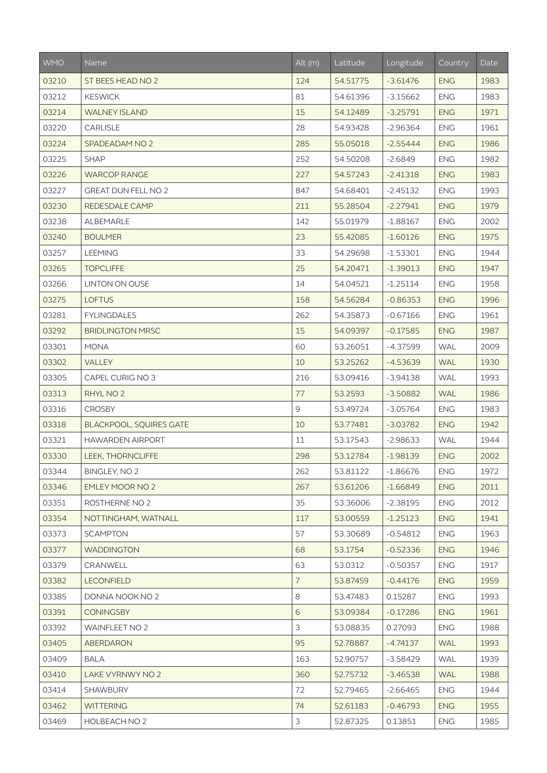| <b>WMO</b> | Name                           | Alt(m)         | Latitude | Longitude  | Country    | Date |
|------------|--------------------------------|----------------|----------|------------|------------|------|
| 03210      | ST BEES HEAD NO 2              | 124            | 54.51775 | $-3.61476$ | <b>ENG</b> | 1983 |
| 03212      | <b>KESWICK</b>                 | 81             | 54.61396 | $-3.15662$ | <b>ENG</b> | 1983 |
| 03214      | <b>WALNEY ISLAND</b>           | 15             | 54.12489 | $-3.25791$ | <b>ENG</b> | 1971 |
| 03220      | CARLISLE                       | 28             | 54.93428 | $-2.96364$ | <b>ENG</b> | 1961 |
| 03224      | SPADEADAM NO 2                 | 285            | 55.05018 | $-2.55444$ | <b>ENG</b> | 1986 |
| 03225      | <b>SHAP</b>                    | 252            | 54.50208 | $-2.6849$  | <b>ENG</b> | 1982 |
| 03226      | <b>WARCOP RANGE</b>            | 227            | 54.57243 | $-2.41318$ | <b>ENG</b> | 1983 |
| 03227      | <b>GREAT DUN FELL NO 2</b>     | 847            | 54.68401 | $-2.45132$ | <b>ENG</b> | 1993 |
| 03230      | REDESDALE CAMP                 | 211            | 55.28504 | $-2.27941$ | <b>ENG</b> | 1979 |
| 03238      | ALBEMARLE                      | 142            | 55.01979 | $-1.88167$ | <b>ENG</b> | 2002 |
| 03240      | <b>BOULMER</b>                 | 23             | 55.42085 | $-1.60126$ | <b>ENG</b> | 1975 |
| 03257      | <b>LEEMING</b>                 | 33             | 54.29698 | $-1.53301$ | <b>ENG</b> | 1944 |
| 03265      | <b>TOPCLIFFE</b>               | 25             | 54.20471 | $-1.39013$ | <b>ENG</b> | 1947 |
| 03266      | <b>LINTON ON OUSE</b>          | 14             | 54.04521 | $-1.25114$ | <b>ENG</b> | 1958 |
| 03275      | <b>LOFTUS</b>                  | 158            | 54.56284 | $-0.86353$ | <b>ENG</b> | 1996 |
| 03281      | <b>FYLINGDALES</b>             | 262            | 54.35873 | $-0.67166$ | <b>ENG</b> | 1961 |
| 03292      | <b>BRIDLINGTON MRSC</b>        | 15             | 54.09397 | $-0.17585$ | <b>ENG</b> | 1987 |
| 03301      | <b>MONA</b>                    | 60             | 53.26051 | $-4.37599$ | <b>WAL</b> | 2009 |
| 03302      | VALLEY                         | 10             | 53.25262 | $-4.53639$ | <b>WAL</b> | 1930 |
| 03305      | CAPEL CURIG NO 3               | 216            | 53.09416 | $-3.94138$ | <b>WAL</b> | 1993 |
| 03313      | RHYL NO 2                      | 77             | 53.2593  | $-3.50882$ | <b>WAL</b> | 1986 |
| 03316      | <b>CROSBY</b>                  | 9              | 53.49724 | $-3.05764$ | <b>ENG</b> | 1983 |
| 03318      | <b>BLACKPOOL, SQUIRES GATE</b> | 10             | 53.77481 | $-3.03782$ | <b>ENG</b> | 1942 |
| 03321      | <b>HAWARDEN AIRPORT</b>        | 11             | 53.17543 | $-2.98633$ | <b>WAL</b> | 1944 |
| 03330      | LEEK, THORNCLIFFE              | 298            | 53.12784 | $-1.98139$ | <b>ENG</b> | 2002 |
| 03344      | <b>BINGLEY, NO 2</b>           | 262            | 53.81122 | $-1.86676$ | <b>ENG</b> | 1972 |
| 03346      | <b>EMLEY MOOR NO 2</b>         | 267            | 53.61206 | $-1.66849$ | <b>ENG</b> | 2011 |
| 03351      | ROSTHERNE NO 2                 | 35             | 53.36006 | $-2.38195$ | <b>ENG</b> | 2012 |
| 03354      | NOTTINGHAM, WATNALL            | 117            | 53.00559 | $-1.25123$ | <b>ENG</b> | 1941 |
| 03373      | <b>SCAMPTON</b>                | 57             | 53.30689 | $-0.54812$ | <b>ENG</b> | 1963 |
| 03377      | <b>WADDINGTON</b>              | 68             | 53.1754  | $-0.52336$ | <b>ENG</b> | 1946 |
| 03379      | CRANWELL                       | 63             | 53.0312  | $-0.50357$ | <b>ENG</b> | 1917 |
| 03382      | <b>LECONFIELD</b>              | $\overline{7}$ | 53.87459 | $-0.44176$ | <b>ENG</b> | 1959 |
| 03385      | DONNA NOOK NO 2                | 8              | 53.47483 | 0.15287    | <b>ENG</b> | 1993 |
| 03391      | <b>CONINGSBY</b>               | 6              | 53.09384 | $-0.17286$ | <b>ENG</b> | 1961 |
| 03392      | <b>WAINFLEET NO 2</b>          | 3              | 53.08835 | 0.27093    | <b>ENG</b> | 1988 |
| 03405      | <b>ABERDARON</b>               | 95             | 52.78887 | $-4.74137$ | <b>WAL</b> | 1993 |
| 03409      | <b>BALA</b>                    | 163            | 52.90757 | $-3.58429$ | <b>WAL</b> | 1939 |
| 03410      | LAKE VYRNWY NO 2               | 360            | 52.75732 | $-3.46538$ | <b>WAL</b> | 1988 |
| 03414      | SHAWBURY                       | 72             | 52.79465 | $-2.66465$ | <b>ENG</b> | 1944 |
| 03462      | <b>WITTERING</b>               | 74             | 52.61183 | $-0.46793$ | <b>ENG</b> | 1955 |
| 03469      | HOLBEACH NO 2                  | 3              | 52.87325 | 0.13851    | <b>ENG</b> | 1985 |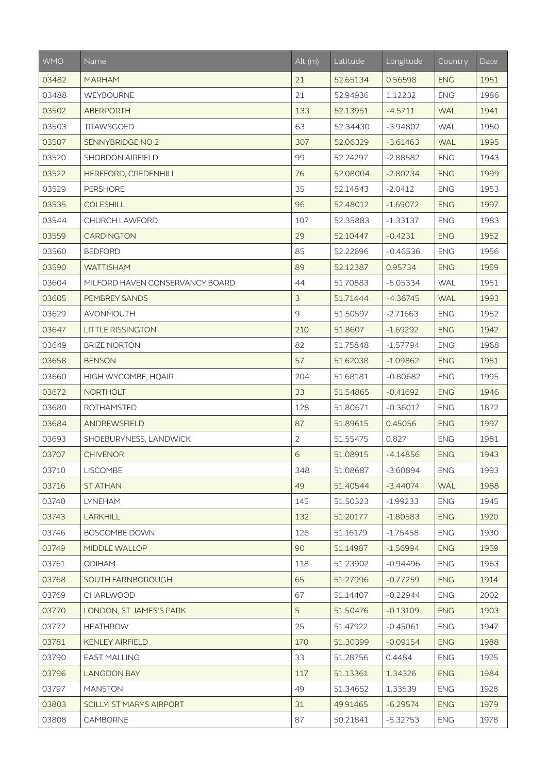| <b>WMO</b> | Name                            | Alt (m)        | Latitude | Longitude  | Country    | Date |
|------------|---------------------------------|----------------|----------|------------|------------|------|
| 03482      | <b>MARHAM</b>                   | 21             | 52.65134 | 0.56598    | <b>ENG</b> | 1951 |
| 03488      | WEYBOURNE                       | 21             | 52.94936 | 1.12232    | <b>ENG</b> | 1986 |
| 03502      | <b>ABERPORTH</b>                | 133            | 52.13951 | $-4.5711$  | <b>WAL</b> | 1941 |
| 03503      | TRAWSGOED                       | 63             | 52.34430 | $-3.94802$ | <b>WAL</b> | 1950 |
| 03507      | SENNYBRIDGE NO 2                | 307            | 52.06329 | $-3.61463$ | <b>WAL</b> | 1995 |
| 03520      | <b>SHOBDON AIRFIELD</b>         | 99             | 52.24297 | $-2.88582$ | <b>ENG</b> | 1943 |
| 03522      | HEREFORD, CREDENHILL            | 76             | 52.08004 | $-2.80234$ | <b>ENG</b> | 1999 |
| 03529      | <b>PERSHORE</b>                 | 35             | 52.14843 | $-2.0412$  | <b>ENG</b> | 1953 |
| 03535      | <b>COLESHILL</b>                | 96             | 52.48012 | $-1.69072$ | <b>ENG</b> | 1997 |
| 03544      | CHURCH LAWFORD                  | 107            | 52.35883 | $-1.33137$ | <b>ENG</b> | 1983 |
| 03559      | <b>CARDINGTON</b>               | 29             | 52.10447 | $-0.4231$  | <b>ENG</b> | 1952 |
| 03560      | <b>BEDFORD</b>                  | 85             | 52.22696 | $-0.46536$ | <b>ENG</b> | 1956 |
| 03590      | <b>WATTISHAM</b>                | 89             | 52.12387 | 0.95734    | <b>ENG</b> | 1959 |
| 03604      | MILFORD HAVEN CONSERVANCY BOARD | 44             | 51.70883 | $-5.05334$ | <b>WAL</b> | 1951 |
| 03605      | PEMBREY SANDS                   | 3              | 51.71444 | $-4.36745$ | <b>WAL</b> | 1993 |
| 03629      | <b>AVONMOUTH</b>                | 9              | 51.50597 | $-2.71663$ | <b>ENG</b> | 1952 |
| 03647      | <b>LITTLE RISSINGTON</b>        | 210            | 51.8607  | $-1.69292$ | <b>ENG</b> | 1942 |
| 03649      | <b>BRIZE NORTON</b>             | 82             | 51.75848 | $-1.57794$ | <b>ENG</b> | 1968 |
| 03658      | <b>BENSON</b>                   | 57             | 51.62038 | $-1.09862$ | <b>ENG</b> | 1951 |
| 03660      | HIGH WYCOMBE, HQAIR             | 204            | 51.68181 | $-0.80682$ | <b>ENG</b> | 1995 |
| 03672      | <b>NORTHOLT</b>                 | 33             | 51.54865 | $-0.41692$ | <b>ENG</b> | 1946 |
| 03680      | <b>ROTHAMSTED</b>               | 128            | 51.80671 | $-0.36017$ | <b>ENG</b> | 1872 |
| 03684      | ANDREWSFIELD                    | 87             | 51.89615 | 0.45056    | <b>ENG</b> | 1997 |
| 03693      | SHOEBURYNESS, LANDWICK          | $\overline{2}$ | 51.55475 | 0.827      | <b>ENG</b> | 1981 |
| 03707      | <b>CHIVENOR</b>                 | 6              | 51.08915 | $-4.14856$ | <b>ENG</b> | 1943 |
| 03710      | <b>LISCOMBE</b>                 | 348            | 51.08687 | $-3.60894$ | <b>ENG</b> | 1993 |
| 03716      | <b>ST ATHAN</b>                 | 49             | 51.40544 | $-3.44074$ | <b>WAL</b> | 1988 |
| 03740      | LYNEHAM                         | 145            | 51.50323 | $-1.99233$ | <b>ENG</b> | 1945 |
| 03743      | <b>LARKHILL</b>                 | 132            | 51.20177 | $-1.80583$ | <b>ENG</b> | 1920 |
| 03746      | <b>BOSCOMBE DOWN</b>            | 126            | 51.16179 | $-1.75458$ | <b>ENG</b> | 1930 |
| 03749      | MIDDLE WALLOP                   | 90             | 51.14987 | $-1.56994$ | <b>ENG</b> | 1959 |
| 03761      | <b>ODIHAM</b>                   | 118            | 51.23902 | $-0.94496$ | <b>ENG</b> | 1963 |
| 03768      | SOUTH FARNBOROUGH               | 65             | 51.27996 | $-0.77259$ | <b>ENG</b> | 1914 |
| 03769      | CHARLWOOD                       | 67             | 51.14407 | $-0.22944$ | <b>ENG</b> | 2002 |
| 03770      | LONDON, ST JAMES'S PARK         | 5              | 51.50476 | $-0.13109$ | <b>ENG</b> | 1903 |
| 03772      | <b>HEATHROW</b>                 | 25             | 51.47922 | $-0.45061$ | <b>ENG</b> | 1947 |
| 03781      | <b>KENLEY AIRFIELD</b>          | 170            | 51.30399 | $-0.09154$ | <b>ENG</b> | 1988 |
| 03790      | <b>EAST MALLING</b>             | 33             | 51.28756 | 0.4484     | <b>ENG</b> | 1925 |
| 03796      | <b>LANGDON BAY</b>              | 117            | 51.13361 | 1.34326    | <b>ENG</b> | 1984 |
| 03797      | <b>MANSTON</b>                  | 49             | 51.34652 | 1.33539    | <b>ENG</b> | 1928 |
| 03803      | <b>SCILLY: ST MARYS AIRPORT</b> | 31             | 49.91465 | $-6.29574$ | <b>ENG</b> | 1979 |
| 03808      | CAMBORNE                        | 87             | 50.21841 | $-5.32753$ | <b>ENG</b> | 1978 |